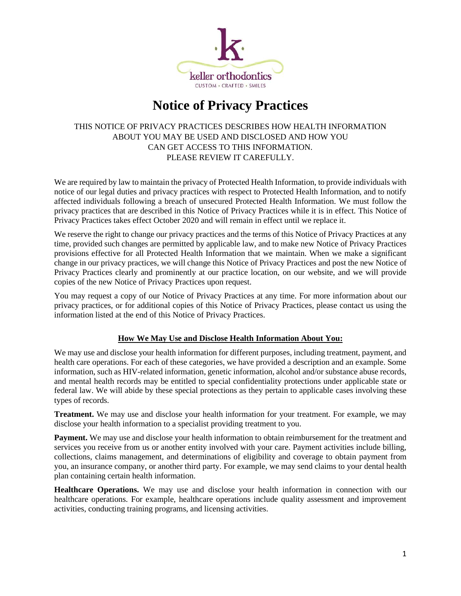

# **Notice of Privacy Practices**

## THIS NOTICE OF PRIVACY PRACTICES DESCRIBES HOW HEALTH INFORMATION ABOUT YOU MAY BE USED AND DISCLOSED AND HOW YOU CAN GET ACCESS TO THIS INFORMATION. PLEASE REVIEW IT CAREFULLY.

We are required by law to maintain the privacy of Protected Health Information, to provide individuals with notice of our legal duties and privacy practices with respect to Protected Health Information, and to notify affected individuals following a breach of unsecured Protected Health Information. We must follow the privacy practices that are described in this Notice of Privacy Practices while it is in effect. This Notice of Privacy Practices takes effect October 2020 and will remain in effect until we replace it.

We reserve the right to change our privacy practices and the terms of this Notice of Privacy Practices at any time, provided such changes are permitted by applicable law, and to make new Notice of Privacy Practices provisions effective for all Protected Health Information that we maintain. When we make a significant change in our privacy practices, we will change this Notice of Privacy Practices and post the new Notice of Privacy Practices clearly and prominently at our practice location, on our website, and we will provide copies of the new Notice of Privacy Practices upon request.

You may request a copy of our Notice of Privacy Practices at any time. For more information about our privacy practices, or for additional copies of this Notice of Privacy Practices, please contact us using the information listed at the end of this Notice of Privacy Practices.

## **How We May Use and Disclose Health Information About You:**

We may use and disclose your health information for different purposes, including treatment, payment, and health care operations. For each of these categories, we have provided a description and an example. Some information, such as HIV-related information, genetic information, alcohol and/or substance abuse records, and mental health records may be entitled to special confidentiality protections under applicable state or federal law. We will abide by these special protections as they pertain to applicable cases involving these types of records.

**Treatment.** We may use and disclose your health information for your treatment. For example, we may disclose your health information to a specialist providing treatment to you.

**Payment.** We may use and disclose your health information to obtain reimbursement for the treatment and services you receive from us or another entity involved with your care. Payment activities include billing, collections, claims management, and determinations of eligibility and coverage to obtain payment from you, an insurance company, or another third party. For example, we may send claims to your dental health plan containing certain health information.

**Healthcare Operations.** We may use and disclose your health information in connection with our healthcare operations. For example, healthcare operations include quality assessment and improvement activities, conducting training programs, and licensing activities.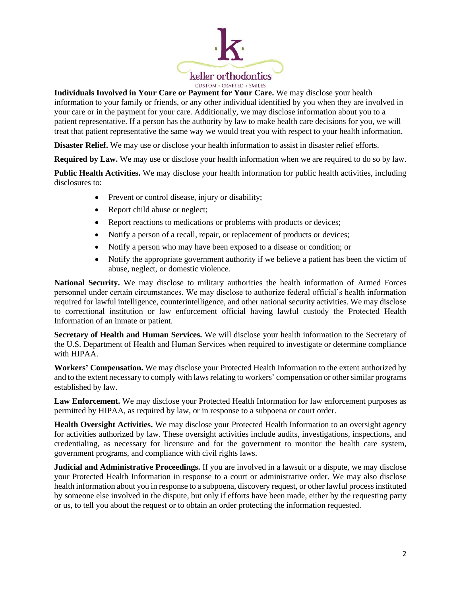

#### **Individuals Involved in Your Care or Payment for Your Care.** We may disclose your health

information to your family or friends, or any other individual identified by you when they are involved in your care or in the payment for your care. Additionally, we may disclose information about you to a patient representative. If a person has the authority by law to make health care decisions for you, we will treat that patient representative the same way we would treat you with respect to your health information.

**Disaster Relief.** We may use or disclose your health information to assist in disaster relief efforts.

**Required by Law.** We may use or disclose your health information when we are required to do so by law.

**Public Health Activities.** We may disclose your health information for public health activities, including disclosures to:

- Prevent or control disease, injury or disability;
- Report child abuse or neglect;
- Report reactions to medications or problems with products or devices;
- Notify a person of a recall, repair, or replacement of products or devices;
- Notify a person who may have been exposed to a disease or condition; or
- Notify the appropriate government authority if we believe a patient has been the victim of abuse, neglect, or domestic violence.

**National Security.** We may disclose to military authorities the health information of Armed Forces personnel under certain circumstances. We may disclose to authorize federal official's health information required for lawful intelligence, counterintelligence, and other national security activities. We may disclose to correctional institution or law enforcement official having lawful custody the Protected Health Information of an inmate or patient.

**Secretary of Health and Human Services.** We will disclose your health information to the Secretary of the U.S. Department of Health and Human Services when required to investigate or determine compliance with HIPAA.

**Workers' Compensation.** We may disclose your Protected Health Information to the extent authorized by and to the extent necessary to comply with laws relating to workers' compensation or other similar programs established by law.

**Law Enforcement.** We may disclose your Protected Health Information for law enforcement purposes as permitted by HIPAA, as required by law, or in response to a subpoena or court order.

**Health Oversight Activities.** We may disclose your Protected Health Information to an oversight agency for activities authorized by law. These oversight activities include audits, investigations, inspections, and credentialing, as necessary for licensure and for the government to monitor the health care system, government programs, and compliance with civil rights laws.

**Judicial and Administrative Proceedings.** If you are involved in a lawsuit or a dispute, we may disclose your Protected Health Information in response to a court or administrative order. We may also disclose health information about you in response to a subpoena, discovery request, or other lawful process instituted by someone else involved in the dispute, but only if efforts have been made, either by the requesting party or us, to tell you about the request or to obtain an order protecting the information requested.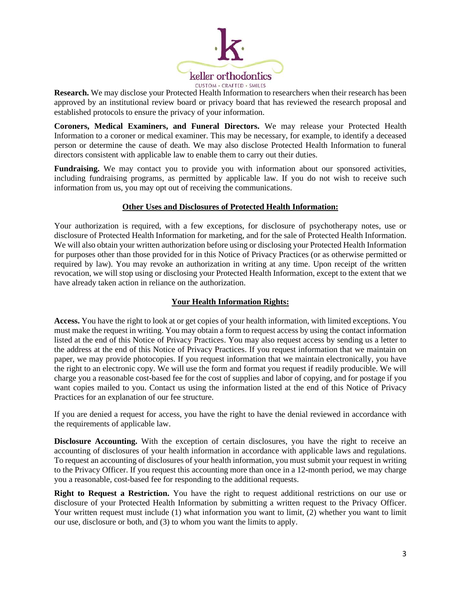

**Research.** We may disclose your Protected Health Information to researchers when their research has been approved by an institutional review board or privacy board that has reviewed the research proposal and established protocols to ensure the privacy of your information.

**Coroners, Medical Examiners, and Funeral Directors.** We may release your Protected Health Information to a coroner or medical examiner. This may be necessary, for example, to identify a deceased person or determine the cause of death. We may also disclose Protected Health Information to funeral directors consistent with applicable law to enable them to carry out their duties.

**Fundraising.** We may contact you to provide you with information about our sponsored activities, including fundraising programs, as permitted by applicable law. If you do not wish to receive such information from us, you may opt out of receiving the communications.

### **Other Uses and Disclosures of Protected Health Information:**

Your authorization is required, with a few exceptions, for disclosure of psychotherapy notes, use or disclosure of Protected Health Information for marketing, and for the sale of Protected Health Information. We will also obtain your written authorization before using or disclosing your Protected Health Information for purposes other than those provided for in this Notice of Privacy Practices (or as otherwise permitted or required by law). You may revoke an authorization in writing at any time. Upon receipt of the written revocation, we will stop using or disclosing your Protected Health Information, except to the extent that we have already taken action in reliance on the authorization.

## **Your Health Information Rights:**

**Access.** You have the right to look at or get copies of your health information, with limited exceptions. You must make the request in writing. You may obtain a form to request access by using the contact information listed at the end of this Notice of Privacy Practices. You may also request access by sending us a letter to the address at the end of this Notice of Privacy Practices. If you request information that we maintain on paper, we may provide photocopies. If you request information that we maintain electronically, you have the right to an electronic copy. We will use the form and format you request if readily producible. We will charge you a reasonable cost-based fee for the cost of supplies and labor of copying, and for postage if you want copies mailed to you. Contact us using the information listed at the end of this Notice of Privacy Practices for an explanation of our fee structure.

If you are denied a request for access, you have the right to have the denial reviewed in accordance with the requirements of applicable law.

**Disclosure Accounting.** With the exception of certain disclosures, you have the right to receive an accounting of disclosures of your health information in accordance with applicable laws and regulations. To request an accounting of disclosures of your health information, you must submit your request in writing to the Privacy Officer. If you request this accounting more than once in a 12-month period, we may charge you a reasonable, cost-based fee for responding to the additional requests.

**Right to Request a Restriction.** You have the right to request additional restrictions on our use or disclosure of your Protected Health Information by submitting a written request to the Privacy Officer. Your written request must include (1) what information you want to limit, (2) whether you want to limit our use, disclosure or both, and (3) to whom you want the limits to apply.